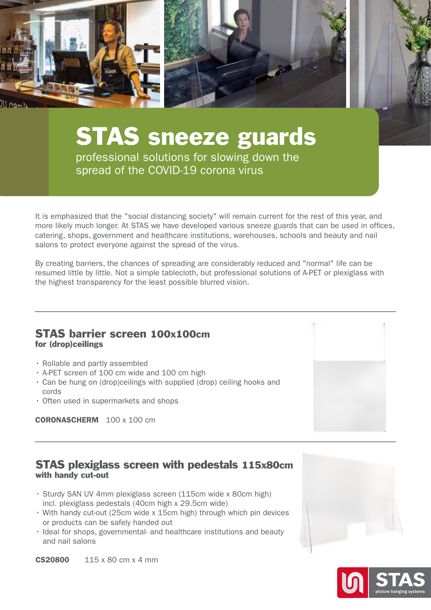

# STAS sneeze guards

professional solutions for slowing down the spread of the COVID-19 corona virus

It is emphasized that the "social distancing society" will remain current for the rest of this year, and more likely much longer. At STAS we have developed various sneeze guards that can be used in offices, catering, shops, government and healthcare institutions, warehouses, schools and beauty and nail salons to protect everyone against the spread of the virus.

By creating barriers, the chances of spreading are considerably reduced and "normal" life can be resumed little by little. Not a simple tablecloth, but professional solutions of A-PET or plexiglass with the highest transparency for the least possible blurred vision.

## STAS barrier screen 100x100cm for (drop)ceilings

- Rollable and partly assembled
- A-PET screen of 100 cm wide and 100 cm high
- Can be hung on (drop)ceilings with supplied (drop) ceiling hooks and cords
- Often used in supermarkets and shops

CORONASCHERM 100 x 100 cm



# STAS plexiglass screen with pedestals 115x80cm with handy cut-out

- Sturdy SAN UV 4mm plexiglass screen (115cm wide x 80cm high) incl. plexiglass pedestals (40cm high x 29.5cm wide)
- With handy cut-out (25cm wide x 15cm high) through which pin devices or products can be safely handed out
- Ideal for shops, governmental- and healthcare institutions and beauty and nail salons



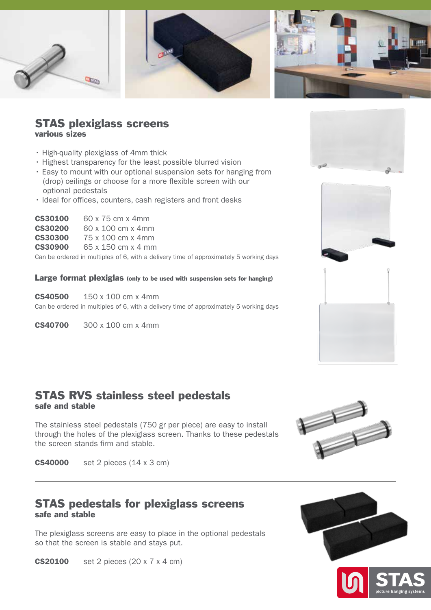

## STAS plexiglass screens various sizes

- High-quality plexiglass of 4mm thick
- Highest transparency for the least possible blurred vision
- Easy to mount with our optional suspension sets for hanging from (drop) ceilings or choose for a more flexible screen with our optional pedestals
- Ideal for offices, counters, cash registers and front desks

| <b>CS30100</b> | 60 x 75 cm x 4 mm  |
|----------------|--------------------|
| <b>CS30200</b> | 60 x 100 cm x 4mm  |
| <b>CS30300</b> | 75 x 100 cm x 4mm  |
| <b>CS30900</b> | 65 x 150 cm x 4 mm |
|                |                    |

Can be ordered in multiples of 6, with a delivery time of approximately 5 working days

Large format plexiglas (only to be used with suspension sets for hanging)

CS40500 150 x 100 cm x 4mm Can be ordered in multiples of 6, with a delivery time of approximately 5 working days

CS40700 300 x 100 cm x 4mm







## STAS RVS stainless steel pedestals safe and stable

The stainless steel pedestals (750 gr per piece) are easy to install through the holes of the plexiglass screen. Thanks to these pedestals the screen stands firm and stable.



CS40000 set 2 pieces (14 x 3 cm)

# STAS pedestals for plexiglass screens safe and stable

The plexiglass screens are easy to place in the optional pedestals so that the screen is stable and stays put.



CS20100 set 2 pieces (20 x 7 x 4 cm)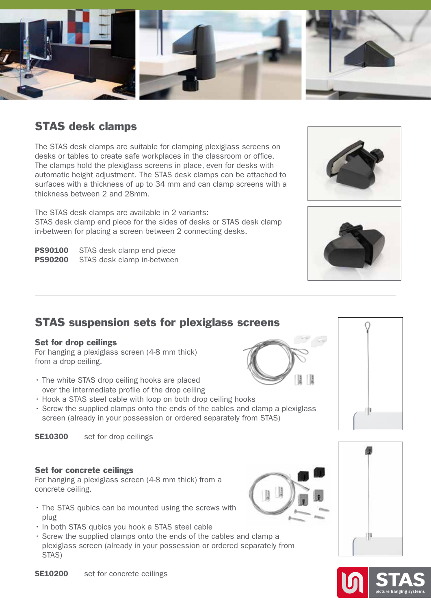

# STAS desk clamps

The STAS desk clamps are suitable for clamping plexiglass screens on desks or tables to create safe workplaces in the classroom or office. The clamps hold the plexiglass screens in place, even for desks with automatic height adjustment. The STAS desk clamps can be attached to surfaces with a thickness of up to 34 mm and can clamp screens with a thickness between 2 and 28mm.

The STAS desk clamps are available in 2 variants: STAS desk clamp end piece for the sides of desks or STAS desk clamp in-between for placing a screen between 2 connecting desks.

PS90100 STAS desk clamp end piece PS90200 STAS desk clamp in-between





# STAS suspension sets for plexiglass screens

#### Set for drop ceilings

For hanging a plexiglass screen (4-8 mm thick) from a drop ceiling.

- The white STAS drop ceiling hooks are placed over the intermediate profile of the drop ceiling
- Hook a STAS steel cable with loop on both drop ceiling hooks
- Screw the supplied clamps onto the ends of the cables and clamp a plexiglass screen (already in your possession or ordered separately from STAS)

SE10300 set for drop ceilings

#### Set for concrete ceilings

For hanging a plexiglass screen (4-8 mm thick) from a concrete ceiling.

- The STAS qubics can be mounted using the screws with plug
- In both STAS qubics you hook a STAS steel cable
- Screw the supplied clamps onto the ends of the cables and clamp a plexiglass screen (already in your possession or ordered separately from STAS)